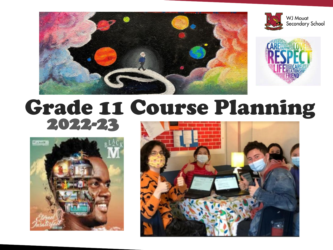





# Grade 11 Course Planning 2022-23



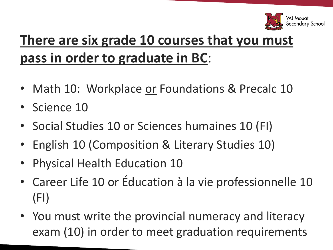

### **There are six grade 10 courses that you must pass in order to graduate in BC**:

- Math 10: Workplace or Foundations & Precalc 10
- Science 10
- Social Studies 10 or Sciences humaines 10 (FI)
- English 10 (Composition & Literary Studies 10)
- Physical Health Education 10
- Career Life 10 or Éducation à la vie professionnelle 10 (FI)
- You must write the provincial numeracy and literacy exam (10) in order to meet graduation requirements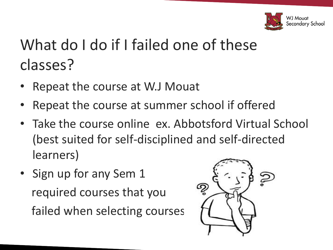

# What do I do if I failed one of these classes?

- Repeat the course at W.J Mouat
- Repeat the course at summer school if offered
- Take the course online ex. Abbotsford Virtual School (best suited for self-disciplined and self-directed learners)
- Sign up for any Sem 1 required courses that you failed when selecting courses

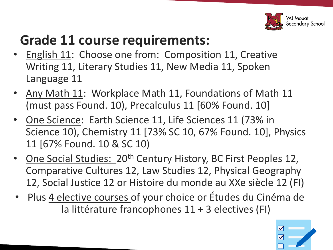

#### **Grade 11 course requirements:**

- English 11: Choose one from: Composition 11, Creative Writing 11, Literary Studies 11, New Media 11, Spoken Language 11
- Any Math 11: Workplace Math 11, Foundations of Math 11 (must pass Found. 10), Precalculus 11 [60% Found. 10]
- One Science: Earth Science 11, Life Sciences 11 (73% in Science 10), Chemistry 11 [73% SC 10, 67% Found. 10], Physics 11 [67% Found. 10 & SC 10)
- One Social Studies: 20<sup>th</sup> Century History, BC First Peoples 12, Comparative Cultures 12, Law Studies 12, Physical Geography 12, Social Justice 12 or Histoire du monde au XXe siècle 12 (FI)
- Plus 4 elective courses of your choice or Études du Cinéma de la littérature francophones 11 + 3 electives (FI)

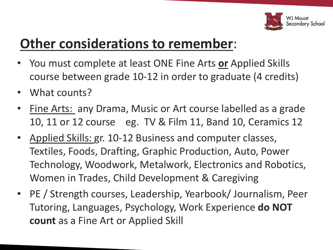

#### **Other considerations to remember**:

- You must complete at least ONE Fine Arts **or** Applied Skills course between grade 10-12 in order to graduate (4 credits)
- What counts?
- Fine Arts: any Drama, Music or Art course labelled as a grade 10, 11 or 12 course eg. TV & Film 11, Band 10, Ceramics 12
- Applied Skills: gr. 10-12 Business and computer classes, Textiles, Foods, Drafting, Graphic Production, Auto, Power Technology, Woodwork, Metalwork, Electronics and Robotics, Women in Trades, Child Development & Caregiving
- PE / Strength courses, Leadership, Yearbook/ Journalism, Peer Tutoring, Languages, Psychology, Work Experience **do NOT count** as a Fine Art or Applied Skill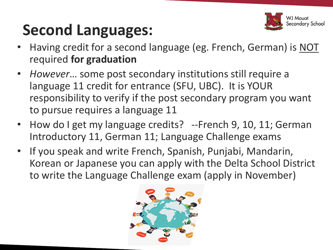

# **Second Languages:**

- Having credit for a second language (eg. French, German) is NOT required **for graduation**
- *However*… some post secondary institutions still require a language 11 credit for entrance (SFU, UBC). It is YOUR responsibility to verify if the post secondary program you want to pursue requires a language 11
- How do I get my language credits? --French 9, 10, 11; German Introductory 11, German 11; Language Challenge exams
- If you speak and write French, Spanish, Punjabi, Mandarin, Korean or Japanese you can apply with the Delta School District to write the Language Challenge exam (apply in November)

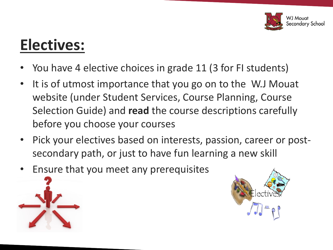

# **Electives:**

- You have 4 elective choices in grade 11 (3 for FI students)
- It is of utmost importance that you go on to the W.J Mouat website (under Student Services, Course Planning, Course Selection Guide) and **read** the course descriptions carefully before you choose your courses
- Pick your electives based on interests, passion, career or postsecondary path, or just to have fun learning a new skill
- Ensure that you meet any prerequisites



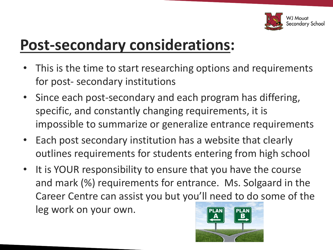

# **Post-secondary considerations:**

- This is the time to start researching options and requirements for post- secondary institutions
- Since each post-secondary and each program has differing, specific, and constantly changing requirements, it is impossible to summarize or generalize entrance requirements
- Each post secondary institution has a website that clearly outlines requirements for students entering from high school
- It is YOUR responsibility to ensure that you have the course and mark (%) requirements for entrance. Ms. Solgaard in the Career Centre can assist you but you'll need to do some of the leg work on your own.

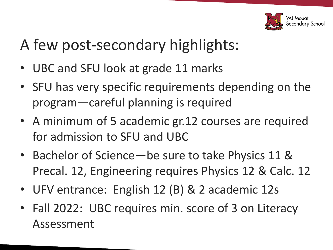

# A few post-secondary highlights:

- UBC and SFU look at grade 11 marks
- SFU has very specific requirements depending on the program—careful planning is required
- A minimum of 5 academic gr.12 courses are required for admission to SFU and UBC
- Bachelor of Science—be sure to take Physics 11 & Precal. 12, Engineering requires Physics 12 & Calc. 12
- UFV entrance: English 12 (B) & 2 academic 12s
- Fall 2022: UBC requires min. score of 3 on Literacy Assessment